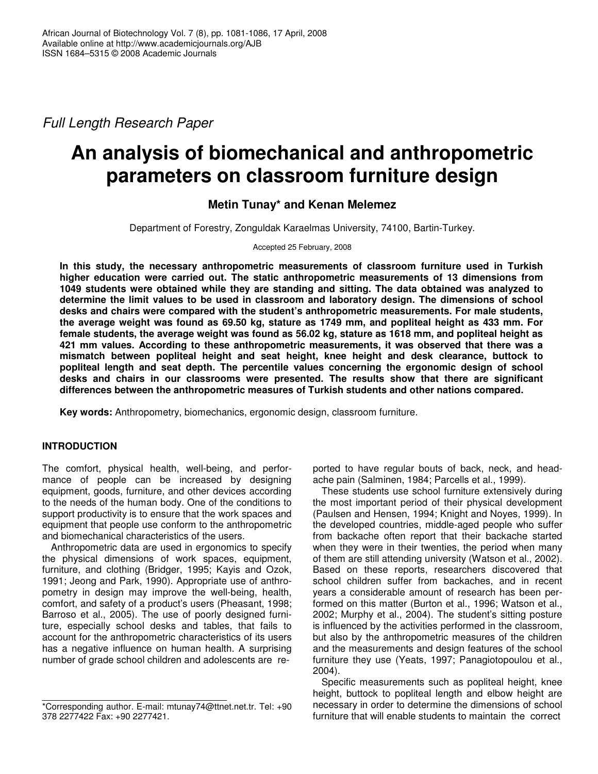*Full Length Research Paper*

# **An analysis of biomechanical and anthropometric parameters on classroom furniture design**

# **Metin Tunay\* and Kenan Melemez**

Department of Forestry, Zonguldak Karaelmas University, 74100, Bartin-Turkey.

Accepted 25 February, 2008

**In this study, the necessary anthropometric measurements of classroom furniture used in Turkish higher education were carried out. The static anthropometric measurements of 13 dimensions from 1049 students were obtained while they are standing and sitting. The data obtained was analyzed to determine the limit values to be used in classroom and laboratory design. The dimensions of school desks and chairs were compared with the student's anthropometric measurements. For male students,** the average weight was found as 69.50 kg, stature as 1749 mm, and popliteal height as 433 mm. For female students, the average weight was found as 56.02 kg, stature as 1618 mm, and popliteal height as **421 mm values. According to these anthropometric measurements, it was observed that there was a mismatch between popliteal height and seat height, knee height and desk clearance, buttock to popliteal length and seat depth. The percentile values concerning the ergonomic design of school desks and chairs in our classrooms were presented. The results show that there are significant differences between the anthropometric measures of Turkish students and other nations compared.**

**Key words:** Anthropometry, biomechanics, ergonomic design, classroom furniture.

## **INTRODUCTION**

The comfort, physical health, well-being, and performance of people can be increased by designing equipment, goods, furniture, and other devices according to the needs of the human body. One of the conditions to support productivity is to ensure that the work spaces and equipment that people use conform to the anthropometric and biomechanical characteristics of the users.

Anthropometric data are used in ergonomics to specify the physical dimensions of work spaces, equipment, furniture, and clothing (Bridger, 1995; Kayis and Ozok, 1991; Jeong and Park, 1990). Appropriate use of anthropometry in design may improve the well-being, health, comfort, and safety of a product's users (Pheasant, 1998; Barroso et al., 2005). The use of poorly designed furniture, especially school desks and tables, that fails to account for the anthropometric characteristics of its users has a negative influence on human health. A surprising number of grade school children and adolescents are reported to have regular bouts of back, neck, and headache pain (Salminen, 1984; Parcells et al., 1999).

These students use school furniture extensively during the most important period of their physical development (Paulsen and Hensen, 1994; Knight and Noyes, 1999). In the developed countries, middle-aged people who suffer from backache often report that their backache started when they were in their twenties, the period when many of them are still attending university (Watson et al., 2002). Based on these reports, researchers discovered that school children suffer from backaches, and in recent years a considerable amount of research has been performed on this matter (Burton et al., 1996; Watson et al., 2002; Murphy et al., 2004). The student's sitting posture is influenced by the activities performed in the classroom, but also by the anthropometric measures of the children and the measurements and design features of the school furniture they use (Yeats, 1997; Panagiotopoulou et al., 2004).

Specific measurements such as popliteal height, knee height, buttock to popliteal length and elbow height are necessary in order to determine the dimensions of school furniture that will enable students to maintain the correct

<sup>\*</sup>Corresponding author. E-mail: mtunay74@ttnet.net.tr. Tel: +90 378 2277422 Fax: +90 2277421.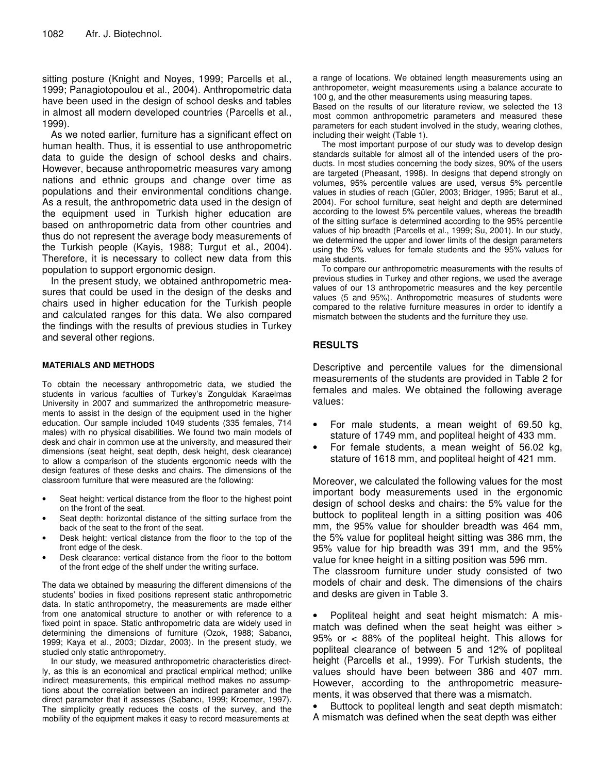sitting posture (Knight and Noyes, 1999; Parcells et al., 1999; Panagiotopoulou et al., 2004). Anthropometric data have been used in the design of school desks and tables in almost all modern developed countries (Parcells et al., 1999).

As we noted earlier, furniture has a significant effect on human health. Thus, it is essential to use anthropometric data to guide the design of school desks and chairs. However, because anthropometric measures vary among nations and ethnic groups and change over time as populations and their environmental conditions change. As a result, the anthropometric data used in the design of the equipment used in Turkish higher education are based on anthropometric data from other countries and thus do not represent the average body measurements of the Turkish people (Kayis, 1988; Turgut et al., 2004). Therefore, it is necessary to collect new data from this population to support ergonomic design.

In the present study, we obtained anthropometric measures that could be used in the design of the desks and chairs used in higher education for the Turkish people and calculated ranges for this data. We also compared the findings with the results of previous studies in Turkey and several other regions.

### **MATERIALS AND METHODS**

To obtain the necessary anthropometric data, we studied the students in various faculties of Turkey's Zonguldak Karaelmas University in 2007 and summarized the anthropometric measurements to assist in the design of the equipment used in the higher education. Our sample included 1049 students (335 females, 714 males) with no physical disabilities. We found two main models of desk and chair in common use at the university, and measured their dimensions (seat height, seat depth, desk height, desk clearance) to allow a comparison of the students ergonomic needs with the design features of these desks and chairs. The dimensions of the classroom furniture that were measured are the following:

- Seat height: vertical distance from the floor to the highest point on the front of the seat.
- Seat depth: horizontal distance of the sitting surface from the back of the seat to the front of the seat.
- Desk height: vertical distance from the floor to the top of the front edge of the desk.
- Desk clearance: vertical distance from the floor to the bottom of the front edge of the shelf under the writing surface.

The data we obtained by measuring the different dimensions of the students' bodies in fixed positions represent static anthropometric data. In static anthropometry, the measurements are made either from one anatomical structure to another or with reference to a fixed point in space. Static anthropometric data are widely used in determining the dimensions of furniture (Ozok, 1988; Sabancı, 1999; Kaya et al., 2003; Dizdar, 2003). In the present study, we studied only static anthropometry.

In our study, we measured anthropometric characteristics directly, as this is an economical and practical empirical method; unlike indirect measurements, this empirical method makes no assumptions about the correlation between an indirect parameter and the direct parameter that it assesses (Sabancı, 1999; Kroemer, 1997). The simplicity greatly reduces the costs of the survey, and the mobility of the equipment makes it easy to record measurements at

a range of locations. We obtained length measurements using an anthropometer, weight measurements using a balance accurate to 100 g, and the other measurements using measuring tapes.

Based on the results of our literature review, we selected the 13 most common anthropometric parameters and measured these parameters for each student involved in the study, wearing clothes, including their weight (Table 1).

The most important purpose of our study was to develop design standards suitable for almost all of the intended users of the products. In most studies concerning the body sizes, 90% of the users are targeted (Pheasant, 1998). In designs that depend strongly on volumes, 95% percentile values are used, versus 5% percentile values in studies of reach (Güler, 2003; Bridger, 1995; Barut et al., 2004). For school furniture, seat height and depth are determined according to the lowest 5% percentile values, whereas the breadth of the sitting surface is determined according to the 95% percentile values of hip breadth (Parcells et al., 1999; Su, 2001). In our study, we determined the upper and lower limits of the design parameters using the 5% values for female students and the 95% values for male students.

To compare our anthropometric measurements with the results of previous studies in Turkey and other regions, we used the average values of our 13 anthropometric measures and the key percentile values (5 and 95%). Anthropometric measures of students were compared to the relative furniture measures in order to identify a mismatch between the students and the furniture they use.

## **RESULTS**

Descriptive and percentile values for the dimensional measurements of the students are provided in Table 2 for females and males. We obtained the following average values:

- For male students, a mean weight of 69.50 kg, stature of 1749 mm, and popliteal height of 433 mm.
- For female students, a mean weight of 56.02 kg, stature of 1618 mm, and popliteal height of 421 mm.

Moreover, we calculated the following values for the most important body measurements used in the ergonomic design of school desks and chairs: the 5% value for the buttock to popliteal length in a sitting position was 406 mm, the 95% value for shoulder breadth was 464 mm, the 5% value for popliteal height sitting was 386 mm, the 95% value for hip breadth was 391 mm, and the 95% value for knee height in a sitting position was 596 mm.

The classroom furniture under study consisted of two models of chair and desk. The dimensions of the chairs and desks are given in Table 3.

• Popliteal height and seat height mismatch: A mismatch was defined when the seat height was either > 95% or < 88% of the popliteal height. This allows for popliteal clearance of between 5 and 12% of popliteal height (Parcells et al., 1999). For Turkish students, the values should have been between 386 and 407 mm. However, according to the anthropometric measurements, it was observed that there was a mismatch.

Buttock to popliteal length and seat depth mismatch: A mismatch was defined when the seat depth was either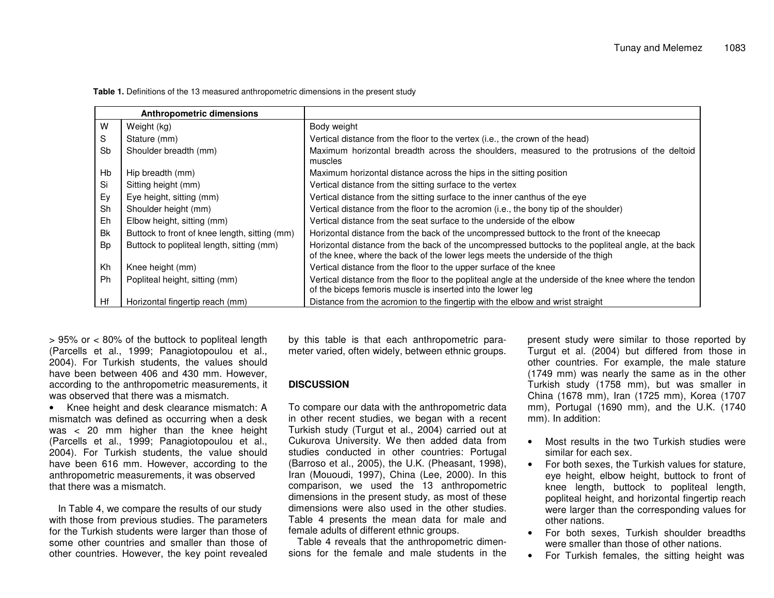|    | <b>Anthropometric dimensions</b>              |                                                                                                                                                                                      |
|----|-----------------------------------------------|--------------------------------------------------------------------------------------------------------------------------------------------------------------------------------------|
| w  | Weight (kg)                                   | Body weight                                                                                                                                                                          |
| S  | Stature (mm)                                  | Vertical distance from the floor to the vertex (i.e., the crown of the head)                                                                                                         |
| Sb | Shoulder breadth (mm)                         | Maximum horizontal breadth across the shoulders, measured to the protrusions of the deltoid<br>muscles                                                                               |
| Hb | Hip breadth (mm)                              | Maximum horizontal distance across the hips in the sitting position                                                                                                                  |
| Si | Sitting height (mm)                           | Vertical distance from the sitting surface to the vertex                                                                                                                             |
| Ey | Eye height, sitting (mm)                      | Vertical distance from the sitting surface to the inner canthus of the eye                                                                                                           |
| Sh | Shoulder height (mm)                          | Vertical distance from the floor to the acromion (i.e., the bony tip of the shoulder)                                                                                                |
| Eh | Elbow height, sitting (mm)                    | Vertical distance from the seat surface to the underside of the elbow                                                                                                                |
| Bk | Buttock to front of knee length, sitting (mm) | Horizontal distance from the back of the uncompressed buttock to the front of the kneecap                                                                                            |
| Bp | Buttock to popliteal length, sitting (mm)     | Horizontal distance from the back of the uncompressed buttocks to the popliteal angle, at the back<br>of the knee, where the back of the lower legs meets the underside of the thigh |
| Kh | Knee height (mm)                              | Vertical distance from the floor to the upper surface of the knee                                                                                                                    |
| Ph | Popliteal height, sitting (mm)                | Vertical distance from the floor to the popliteal angle at the underside of the knee where the tendon<br>of the biceps femoris muscle is inserted into the lower leg                 |
| Hf | Horizontal fingertip reach (mm)               | Distance from the acromion to the fingertip with the elbow and wrist straight                                                                                                        |

**Table 1.** Definitions of the 13 measured anthropometric dimensions in the present study

> 95% or <sup>&</sup>lt; 80% of the buttock to popliteal length (Parcells et al., 1999; Panagiotopoulou et al., 2004). For Turkish students, the values should have been between 406 and 430 mm. However, according to the anthropometric measurements, it was observed that there was a mismatch.

• Knee height and desk clearance mismatch: A mismatch was defined as occurring when <sup>a</sup> desk was < 20 mm higher than the knee height (Parcells et al., 1999; Panagiotopoulou et al., 2004). For Turkish students, the value should have been 616 mm. However, according to the anthropometric measurements, it was observed that there was a mismatch.

In Table 4, we compare the results of our study with those from previous studies. The parameters for the Turkish students were larger than those of some other countries and smaller than those of other countries. However, the key point revealed

by this table is that each anthropometric parameter varied, often widely, between ethnic groups.

## **DISCUSSION**

To compare our data with the anthropometric data in other recent studies, we began with <sup>a</sup> recent Turkish study (Turgut et al., 2004) carried out at Cukurova University. We then added data from studies conducted in other countries: Portugal (Barroso et al., 2005), the U.K. (Pheasant, 1998), Iran (Mououdi, 1997), China (Lee, 2000). In this comparison, we used the 13 anthropometric dimensions in the present study, as most of these dimensions were also used in the other studies. Table 4 presents the mean data for male and female adults of different ethnic groups.

Table 4 reveals that the anthropometric dimensions for the female and male students in the

present study were similar to those reported by Turgut et al. (2004) but differed from those in other countries. For example, the male stature (1749 mm) was nearly the same as in the other Turkish study (1758 mm), but was smaller in China (1678 mm), Iran (1725 mm), Korea (1707 mm), Portugal (1690 mm), and the U.K. (1740 mm). In addition:

- Most results in the two Turkish studies were similar for each sex.
- •• For both sexes, the Turkish values for stature, eye height, elbow height, buttock to front of knee length, buttock to popliteal length, popliteal height, and horizontal fingertip reach were larger than the corresponding values for other nations.
- • For both sexes, Turkish shoulder breadths were smaller than those of other nations.
- •For Turkish females, the sitting height was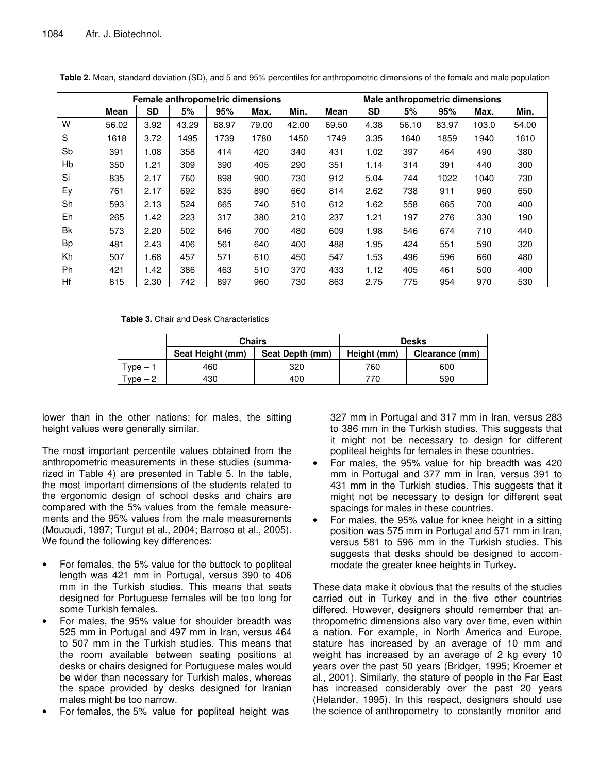|           |       |           |       |       | Female anthropometric dimensions |       | Male anthropometric dimensions |           |       |       |       |       |  |  |  |
|-----------|-------|-----------|-------|-------|----------------------------------|-------|--------------------------------|-----------|-------|-------|-------|-------|--|--|--|
|           | Mean  | <b>SD</b> | 5%    | 95%   | Max.                             | Min.  | Mean                           | <b>SD</b> | 5%    | 95%   | Max.  | Min.  |  |  |  |
| W         | 56.02 | 3.92      | 43.29 | 68.97 | 79.00                            | 42.00 | 69.50                          | 4.38      | 56.10 | 83.97 | 103.0 | 54.00 |  |  |  |
| S         | 1618  | 3.72      | 1495  | 1739  | 1780                             | 1450  | 1749                           | 3.35      | 1640  | 1859  | 1940  | 1610  |  |  |  |
| Sb        | 391   | 1.08      | 358   | 414   | 420                              | 340   | 431                            | 1.02      | 397   | 464   | 490   | 380   |  |  |  |
| Hb        | 350   | 1.21      | 309   | 390   | 405                              | 290   | 351                            | 1.14      | 314   | 391   | 440   | 300   |  |  |  |
| Si        | 835   | 2.17      | 760   | 898   | 900                              | 730   | 912                            | 5.04      | 744   | 1022  | 1040  | 730   |  |  |  |
| Ey        | 761   | 2.17      | 692   | 835   | 890                              | 660   | 814                            | 2.62      | 738   | 911   | 960   | 650   |  |  |  |
| Sh        | 593   | 2.13      | 524   | 665   | 740                              | 510   | 612                            | 1.62      | 558   | 665   | 700   | 400   |  |  |  |
| Eh        | 265   | 1.42      | 223   | 317   | 380                              | 210   | 237                            | 1.21      | 197   | 276   | 330   | 190   |  |  |  |
| <b>Bk</b> | 573   | 2.20      | 502   | 646   | 700                              | 480   | 609                            | 1.98      | 546   | 674   | 710   | 440   |  |  |  |
| <b>Bp</b> | 481   | 2.43      | 406   | 561   | 640                              | 400   | 488                            | 1.95      | 424   | 551   | 590   | 320   |  |  |  |
| Kh        | 507   | 1.68      | 457   | 571   | 610                              | 450   | 547                            | 1.53      | 496   | 596   | 660   | 480   |  |  |  |
| <b>Ph</b> | 421   | 1.42      | 386   | 463   | 510                              | 370   | 433                            | 1.12      | 405   | 461   | 500   | 400   |  |  |  |
| Hf        | 815   | 2.30      | 742   | 897   | 960                              | 730   | 863                            | 2.75      | 775   | 954   | 970   | 530   |  |  |  |

**Table 2.** Mean, standard deviation (SD), and 5 and 95% percentiles for anthropometric dimensions of the female and male population

**Table 3.** Chair and Desk Characteristics

|                     | <b>Chairs</b>    |                 | <b>Desks</b> |                |  |  |  |
|---------------------|------------------|-----------------|--------------|----------------|--|--|--|
|                     | Seat Height (mm) | Seat Depth (mm) | Height (mm)  | Clearance (mm) |  |  |  |
| Type – 1            | 460              | 320             | 760          | 600            |  |  |  |
| $\sqrt{2}$ vpe $-2$ | 430              | 400             | 770          | 590            |  |  |  |

lower than in the other nations; for males, the sitting height values were generally similar.

The most important percentile values obtained from the anthropometric measurements in these studies (summarized in Table 4) are presented in Table 5. In the table, the most important dimensions of the students related to the ergonomic design of school desks and chairs are compared with the 5% values from the female measurements and the 95% values from the male measurements (Mououdi, 1997; Turgut et al., 2004; Barroso et al., 2005). We found the following key differences:

- For females, the 5% value for the buttock to popliteal length was 421 mm in Portugal, versus 390 to 406 mm in the Turkish studies. This means that seats designed for Portuguese females will be too long for some Turkish females.
- For males, the 95% value for shoulder breadth was 525 mm in Portugal and 497 mm in Iran, versus 464 to 507 mm in the Turkish studies. This means that the room available between seating positions at desks or chairs designed for Portuguese males would be wider than necessary for Turkish males, whereas the space provided by desks designed for Iranian males might be too narrow.
- For females, the 5% value for popliteal height was

327 mm in Portugal and 317 mm in Iran, versus 283 to 386 mm in the Turkish studies. This suggests that it might not be necessary to design for different popliteal heights for females in these countries.

- For males, the 95% value for hip breadth was 420 mm in Portugal and 377 mm in Iran, versus 391 to 431 mm in the Turkish studies. This suggests that it might not be necessary to design for different seat spacings for males in these countries.
- For males, the 95% value for knee height in a sitting position was 575 mm in Portugal and 571 mm in Iran, versus 581 to 596 mm in the Turkish studies. This suggests that desks should be designed to accommodate the greater knee heights in Turkey.

These data make it obvious that the results of the studies carried out in Turkey and in the five other countries differed. However, designers should remember that anthropometric dimensions also vary over time, even within a nation. For example, in North America and Europe, stature has increased by an average of 10 mm and weight has increased by an average of 2 kg every 10 years over the past 50 years (Bridger, 1995; Kroemer et al., 2001). Similarly, the stature of people in the Far East has increased considerably over the past 20 years (Helander, 1995). In this respect, designers should use the science of anthropometry to constantly monitor and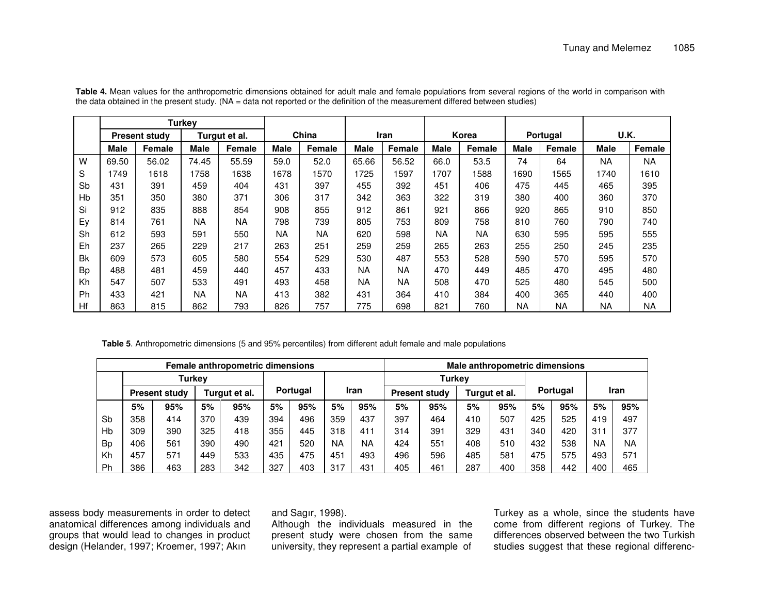|           | <b>Turkey</b>        |        |               |               |             |               |             |           |              |               |             |               |             |        |
|-----------|----------------------|--------|---------------|---------------|-------------|---------------|-------------|-----------|--------------|---------------|-------------|---------------|-------------|--------|
|           | <b>Present study</b> |        | Turgut et al. |               | China       |               | Iran        |           | <b>Korea</b> |               | Portugal    |               | U.K.        |        |
|           | <b>Male</b>          | Female | <b>Male</b>   | <b>Female</b> | <b>Male</b> | <b>Female</b> | <b>Male</b> | Female    | Male         | <b>Female</b> | <b>Male</b> | <b>Female</b> | <b>Male</b> | Female |
| W         | 69.50                | 56.02  | 74.45         | 55.59         | 59.0        | 52.0          | 65.66       | 56.52     | 66.0         | 53.5          | 74          | 64            | <b>NA</b>   | NA     |
| S         | 1749                 | 1618   | 1758          | 1638          | 1678        | 1570          | 1725        | 597       | 1707         | 1588          | 1690        | 1565          | 1740        | 1610   |
| Sb        | 431                  | 391    | 459           | 404           | 431         | 397           | 455         | 392       | 451          | 406           | 475         | 445           | 465         | 395    |
| Hb        | 351                  | 350    | 380           | 371           | 306         | 317           | 342         | 363       | 322          | 319           | 380         | 400           | 360         | 370    |
| Si        | 912                  | 835    | 888           | 854           | 908         | 855           | 912         | 861       | 921          | 866           | 920         | 865           | 910         | 850    |
| Ey        | 814                  | 761    | <b>NA</b>     | <b>NA</b>     | 798         | 739           | 805         | 753       | 809          | 758           | 810         | 760           | 790         | 740    |
| Sh        | 612                  | 593    | 591           | 550           | <b>NA</b>   | <b>NA</b>     | 620         | 598       | <b>NA</b>    | <b>NA</b>     | 630         | 595           | 595         | 555    |
| Eh        | 237                  | 265    | 229           | 217           | 263         | 251           | 259         | 259       | 265          | 263           | 255         | 250           | 245         | 235    |
| <b>Bk</b> | 609                  | 573    | 605           | 580           | 554         | 529           | 530         | 487       | 553          | 528           | 590         | 570           | 595         | 570    |
| <b>Bp</b> | 488                  | 481    | 459           | 440           | 457         | 433           | <b>NA</b>   | <b>NA</b> | 470          | 449           | 485         | 470           | 495         | 480    |
| Kh        | 547                  | 507    | 533           | 491           | 493         | 458           | NA          | <b>NA</b> | 508          | 470           | 525         | 480           | 545         | 500    |
| Ph        | 433                  | 421    | <b>NA</b>     | <b>NA</b>     | 413         | 382           | 431         | 364       | 410          | 384           | 400         | 365           | 440         | 400    |
| Hf        | 863                  | 815    | 862           | 793           | 826         | 757           | 775         | 698       | 821          | 760           | ΝA          | ΝA            | <b>NA</b>   | NA     |

**Table 4.** Mean values for the anthropometric dimensions obtained for adult male and female populations from several regions of the world in comparison with the data obtained in the present study. (NA <sup>=</sup> data not reported or the definition of the measurement differed between studies)

**Table 5**. Anthropometric dimensions (5 and 95% percentiles) from different adult female and male populations

| Female anthropometric dimensions |                      |               |               |     |          |     |           |               |     | Male anthropometric dimensions |     |               |     |                 |           |             |  |
|----------------------------------|----------------------|---------------|---------------|-----|----------|-----|-----------|---------------|-----|--------------------------------|-----|---------------|-----|-----------------|-----------|-------------|--|
|                                  |                      | <b>Turkey</b> |               |     |          |     |           | <b>Turkev</b> |     |                                |     |               |     |                 |           |             |  |
|                                  | <b>Present study</b> |               | Turgut et al. |     | Portugal |     |           | Iran          |     | <b>Present study</b>           |     | Turgut et al. |     | <b>Portugal</b> |           | <b>Iran</b> |  |
|                                  | 5%                   | 95%           | 5%            | 95% | 5%       | 95% | 5%        | 95%           | 5%  | 95%                            | 5%  | 95%           | 5%  | 95%             | 5%        | 95%         |  |
| Sb                               | 358                  | 414           | 370           | 439 | 394      | 496 | 359       | 437           | 397 | 464                            | 410 | 507           | 425 | 525             | 419       | 497         |  |
| Hb                               | 309                  | 390           | 325           | 418 | 355      | 445 | 318       | 411           | 314 | 391                            | 329 | 431           | 340 | 420             | 311       | 377         |  |
| <b>Bp</b>                        | 406                  | 561           | 390           | 490 | 421      | 520 | <b>NA</b> | <b>NA</b>     | 424 | 551                            | 408 | 510           | 432 | 538             | <b>NA</b> | <b>NA</b>   |  |
| Kh                               | 457                  | 571           | 449           | 533 | 435      | 475 | 451       | 493           | 496 | 596                            | 485 | 581           | 475 | 575             | 493       | 571         |  |
| Ph                               | 386                  | 463           | 283           | 342 | 327      | 403 | 317       | 431           | 405 | 461                            | 287 | 400           | 358 | 442             | 400       | 465         |  |

assess body measurements in order to detect anatomical differences among individuals and groups that would lead to changes in product design (Helander, 1997; Kroemer, 1997; Akın

and Sagır, 1998).

Although the individuals measured in the present study were chosen from the same university, they represent <sup>a</sup> partial example of

Turkey as <sup>a</sup> whole, since the students have come from different regions of Turkey. The differences observed between the two Turkish studies suggest that these regional differenc